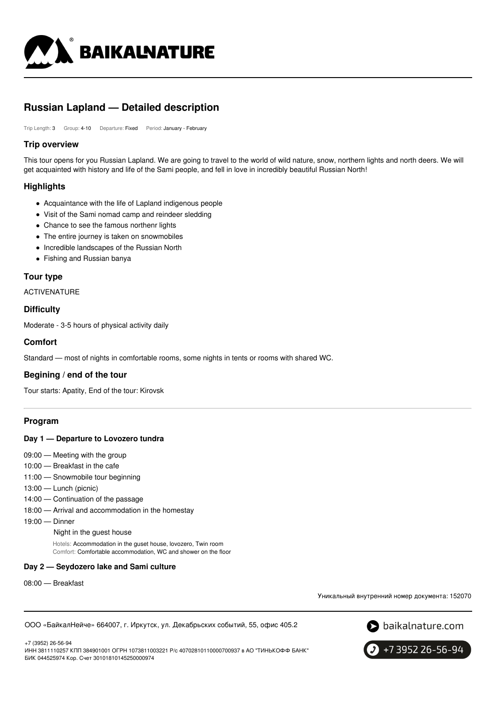

# **Russian Lapland — Detailed description**

Trip Length: 3 Group: 4-10 Departure: Fixed Period: January - February

### **Trip overview**

This tour opens for you Russian Lapland. We are going to travel to the world of wild nature, snow, northern lights and north deers. We will get acquainted with history and life of the Sami people, and fell in love in incredibly beautiful Russian North!

# **Highlights**

- Acquaintance with the life of Lapland indigenous people
- Visit of the Sami nomad camp and reindeer sledding
- Сhance to see the famous northenr lights
- The entire journey is taken on snowmobiles
- Incredible landscapes of the Russian North
- Fishing and Russian banya

### **Tour type**

ACTIVENATURE

### **Difficulty**

Moderate - 3-5 hours of physical activity daily

# **Comfort**

Standard — most of nights in comfortable rooms, some nights in tents or rooms with shared WC.

# **Begining / end of the tour**

Tour starts: Apatity, End of the tour: Kirovsk

# **Program**

### **Day 1 — Departure to Lovozero tundra**

- 09:00 Meeting with the group
- 10:00 Breakfast in the cafe
- 11:00 Snowmobile tour beginning
- 13:00 Lunch (picnic)
- 14:00 Continuation of the passage
- 18:00 Arrival and accommodation in the homestay
- 19:00 Dinner

#### Night in the guest house

Hotels: Accommodation in the guset house, lovozero, Twin room Comfort: Comfortable accommodation, WC and shower on the floor

### **Day 2 — Seydozero lake and Sami culture**

08:00 — Breakfast

Уникальный внутренний номер документа: 152070

ООО «БайкалНейче» 664007, г. Иркутск, ул. Декабрьских событий, 55, офис 405.2



+7 (3952) 26-56-94 ИНН 3811110257 КПП 384901001 ОГРН 1073811003221 Р/с 40702810110000700937 в АО "ТИНЬКОФФ БАНК" БИК 044525974 Кор. Счет 30101810145250000974

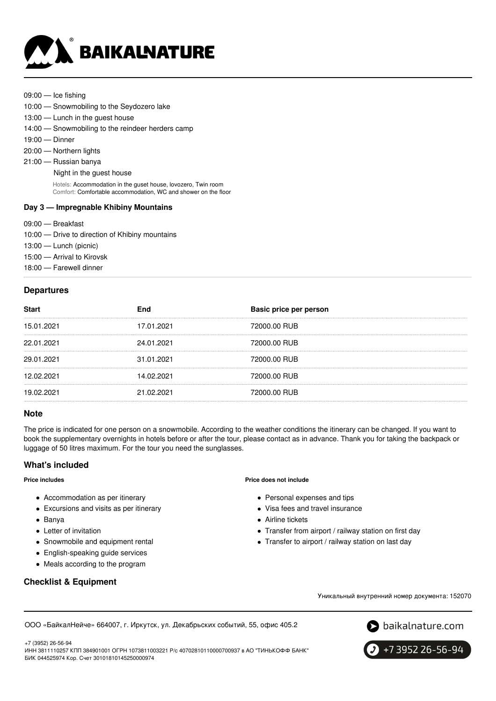

09:00 — Ice fishing

- 10:00 Snowmobiling to the Seydozero lake
- 13:00 Lunch in the guest house
- 14:00 Snowmobiling to the reindeer herders camp
- 19:00 Dinner
- 20:00 Northern lights
- 21:00 Russian banya
	- Night in the guest house

Hotels: Accommodation in the guset house, lovozero, Twin room Comfort: Comfortable accommodation, WC and shower on the floor

#### **Day 3 — Impregnable Khibiny Mountains**

- 09:00 Breakfast
- 10:00 Drive to direction of Khibiny mountains
- 13:00 Lunch (picnic)
- 15:00 Arrival to Kirovsk
- 18:00 Farewell dinner

### **Departures**

| <b>Start</b> | End        | Basic price per person |
|--------------|------------|------------------------|
| 15.01.2021   | 17.01.2021 | 72000.00 RUB           |
| 22.01.2021   | 24.01.2021 | 72000.00 RUB           |
| 29.01.2021   | 31.01.2021 | 72000.00 RUB           |
| 12.02.2021   | 14.02.2021 | 72000.00 RUB           |
| 19.02.2021   | 21.02.2021 | 72000.00 RUB           |

#### **Note**

The price is indicated for one person on a snowmobile. According to the weather conditions the itinerary can be changed. If you want to book the supplementary overnights in hotels before or after the tour, please contact as in advance. Thank you for taking the backpack or luggage of 50 litres maximum. For the tour you need the sunglasses.

# **What's included**

#### **Price includes**

- Accommodation as per itinerary
- Excursions and visits as per itinerary
- Banya
- Letter of invitation
- Snowmobile and equipment rental
- English-speaking guide services
- Meals according to the program

# **Checklist & Equipment**

#### **Price does not include**

- Personal expenses and tips
- Visa fees and travel insurance
- Airline tickets
- Transfer from airport / railway station on first day
- Transfer to airport / railway station on last day



Уникальный внутренний номер документа: 152070

+7 (3952) 26-56-94 ИНН 3811110257 КПП 384901001 ОГРН 1073811003221 Р/с 40702810110000700937 в АО "ТИНЬКОФФ БАНК" БИК 044525974 Кор. Счет 30101810145250000974

ООО «БайкалНейче» 664007, г. Иркутск, ул. Декабрьских событий, 55, офис 405.2

+7 3952 26-56-94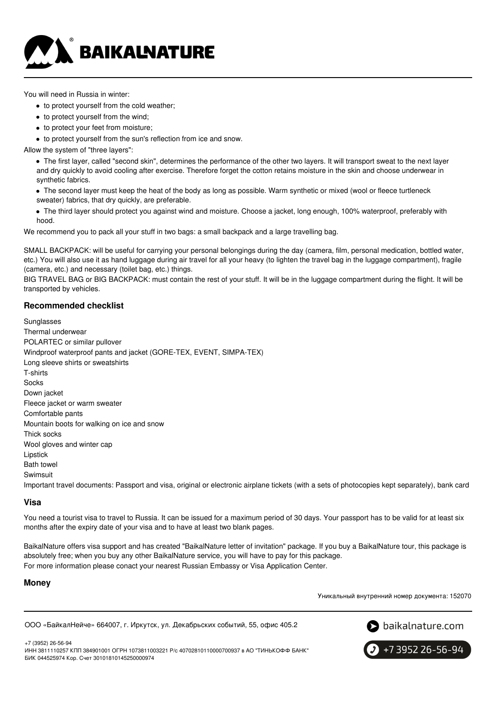

You will need in Russia in winter:

- to protect yourself from the cold weather;
- to protect yourself from the wind;
- to protect your feet from moisture;
- to protect yourself from the sun's reflection from ice and snow.

Allow the system of "three layers":

The first layer, called "second skin", determines the performance of the other two layers. It will transport sweat to the next layer and dry quickly to avoid cooling after exercise. Therefore forget the cotton retains moisture in the skin and choose underwear in synthetic fabrics.

- The second layer must keep the heat of the body as long as possible. Warm synthetic or mixed (wool or fleece turtleneck sweater) fabrics, that dry quickly, are preferable.
- The third layer should protect you against wind and moisture. Choose a jacket, long enough, 100% waterproof, preferably with hood.

We recommend you to pack all your stuff in two bags: a small backpack and a large travelling bag.

SMALL BACKPACK: will be useful for carrying your personal belongings during the day (camera, film, personal medication, bottled water, etc.) You will also use it as hand luggage during air travel for all your heavy (to lighten the travel bag in the luggage compartment), fragile (camera, etc.) and necessary (toilet bag, etc.) things.

BIG TRAVEL BAG or BIG BACKPACK: must contain the rest of your stuff. It will be in the luggage compartment during the flight. It will be transported by vehicles.

### **Recommended checklist**

Sunglasses Thermal underwear POLARTEC or similar pullover Windproof waterproof pants and jacket (GORE-TEX, EVENT, SIMPA-TEX) Long sleeve shirts or sweatshirts T-shirts **Socks** Down jacket Fleece jacket or warm sweater Comfortable pants Mountain boots for walking on ice and snow Thick socks Wool gloves and winter cap Lipstick Bath towel Swimsuit Important travel documents: Passport and visa, original or electronic airplane tickets (with a sets of photocopies kept separately), bank card

#### **Visa**

You need a tourist visa to travel to Russia. It can be issued for a maximum period of 30 days. Your passport has to be valid for at least six months after the expiry date of your visa and to have at least two blank pages.

BaikalNature offers visa support and has created "BaikalNature letter of invitation" package. If you buy a BaikalNature tour, this package is absolutely free; when you buy any other BaikalNature service, you will have to pay for this package. For more information please conact your nearest Russian Embassy or Visa Application Center.

### **Money**

Уникальный внутренний номер документа: 152070

ООО «БайкалНейче» 664007, г. Иркутск, ул. Декабрьских событий, 55, офис 405.2



+7 (3952) 26-56-94 ИНН 3811110257 КПП 384901001 ОГРН 1073811003221 Р/с 40702810110000700937 в АО "ТИНЬКОФФ БАНК" БИК 044525974 Кор. Счет 30101810145250000974